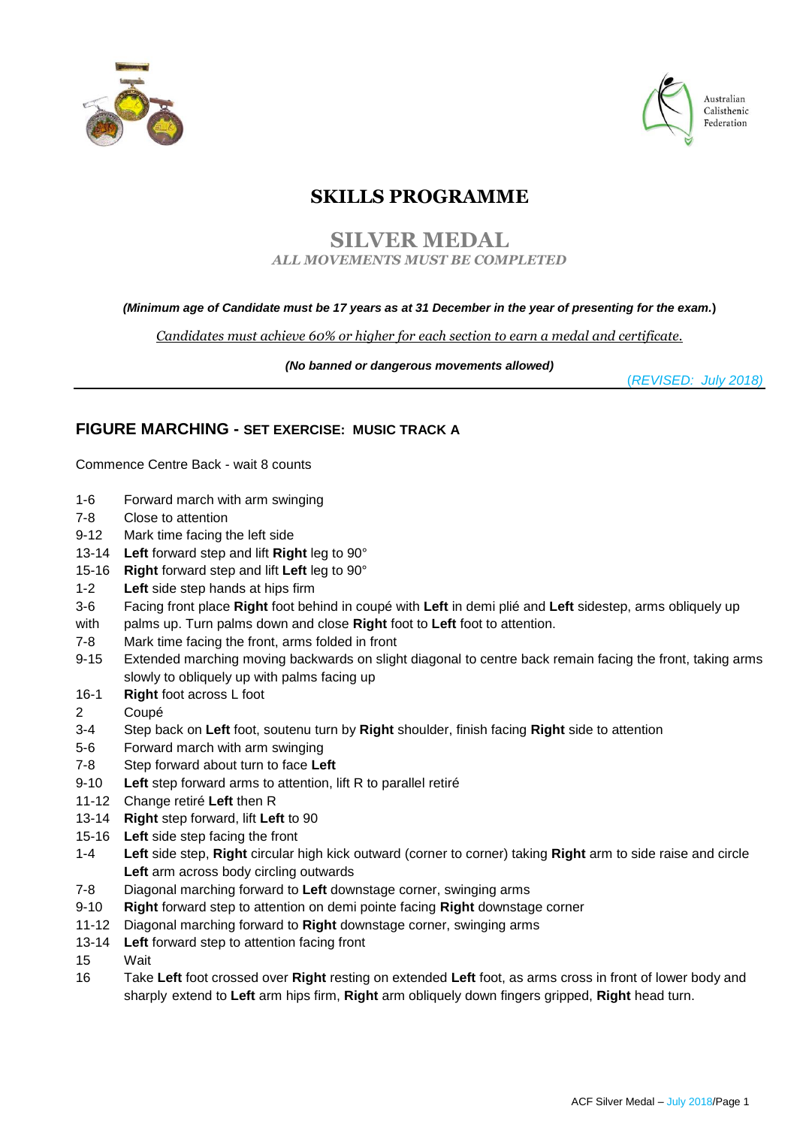



Australian Calisthenic Federation

# **SKILLS PROGRAMME**

# **SILVER MEDAL** *ALL MOVEMENTS MUST BE COMPLETED*

### *(Minimum age of Candidate must be 17 years as at 31 December in the year of presenting for the exam.***)**

*Candidates must achieve 60% or higher for each section to earn a medal and certificate.*

*(No banned or dangerous movements allowed)* 

(*REVISED: July 2018)*

# **FIGURE MARCHING - SET EXERCISE: MUSIC TRACK A**

Commence Centre Back - wait 8 counts

- 1-6 Forward march with arm swinging
- 7-8 Close to attention
- 9-12 Mark time facing the left side
- 13-14 **Left** forward step and lift **Right** leg to 90°
- 15-16 **Right** forward step and lift **Left** leg to 90°
- 1-2 **Left** side step hands at hips firm
- 3-6 Facing front place **Right** foot behind in coupé with **Left** in demi plié and **Left** sidestep, arms obliquely up
- with palms up. Turn palms down and close **Right** foot to **Left** foot to attention.
- 7-8 Mark time facing the front, arms folded in front
- 9-15 Extended marching moving backwards on slight diagonal to centre back remain facing the front, taking arms slowly to obliquely up with palms facing up
- 16-1 **Right** foot across L foot
- 2 Coupé
- 3-4 Step back on **Left** foot, soutenu turn by **Right** shoulder, finish facing **Right** side to attention
- 5-6 Forward march with arm swinging
- 7-8 Step forward about turn to face **Left**
- 9-10 **Left** step forward arms to attention, lift R to parallel retiré
- 11-12 Change retiré **Left** then R
- 13-14 **Right** step forward, lift **Left** to 90
- 15-16 **Left** side step facing the front
- 1-4 **Left** side step, **Right** circular high kick outward (corner to corner) taking **Right** arm to side raise and circle **Left** arm across body circling outwards
- 7-8 Diagonal marching forward to **Left** downstage corner, swinging arms
- 9-10 **Right** forward step to attention on demi pointe facing **Right** downstage corner
- 11-12 Diagonal marching forward to **Right** downstage corner, swinging arms
- 13-14 **Left** forward step to attention facing front
- 15 Wait
- 16 Take **Left** foot crossed over **Right** resting on extended **Left** foot, as arms cross in front of lower body and sharply extend to **Left** arm hips firm, **Right** arm obliquely down fingers gripped, **Right** head turn.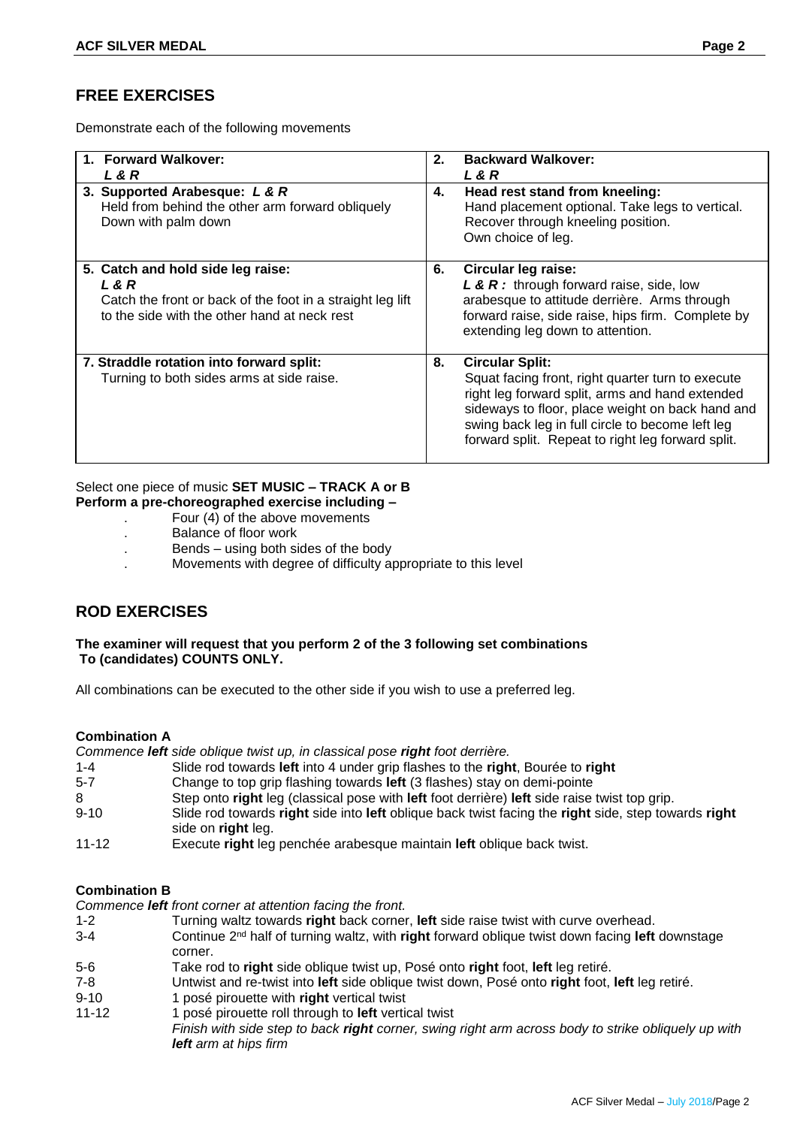# **FREE EXERCISES**

Demonstrate each of the following movements

| <b>Forward Walkover:</b><br>L & R<br>3. Supported Arabesque: L & R<br>Held from behind the other arm forward obliquely<br>Down with palm down            | 2.<br>4. | <b>Backward Walkover:</b><br>L & R<br>Head rest stand from kneeling:<br>Hand placement optional. Take legs to vertical.<br>Recover through kneeling position.<br>Own choice of leg.                                                                                                         |
|----------------------------------------------------------------------------------------------------------------------------------------------------------|----------|---------------------------------------------------------------------------------------------------------------------------------------------------------------------------------------------------------------------------------------------------------------------------------------------|
| 5. Catch and hold side leg raise:<br>L & R<br>Catch the front or back of the foot in a straight leg lift<br>to the side with the other hand at neck rest | 6.       | Circular leg raise:<br>L & R: through forward raise, side, low<br>arabesque to attitude derrière. Arms through<br>forward raise, side raise, hips firm. Complete by<br>extending leg down to attention.                                                                                     |
| 7. Straddle rotation into forward split:<br>Turning to both sides arms at side raise.                                                                    | 8.       | <b>Circular Split:</b><br>Squat facing front, right quarter turn to execute<br>right leg forward split, arms and hand extended<br>sideways to floor, place weight on back hand and<br>swing back leg in full circle to become left leg<br>forward split. Repeat to right leg forward split. |

#### Select one piece of music **SET MUSIC – TRACK A or B Perform a pre-choreographed exercise including –**

- . Four (4) of the above movements
- . Balance of floor work
- . Bends using both sides of the body
- . Movements with degree of difficulty appropriate to this level

# **ROD EXERCISES**

#### **The examiner will request that you perform 2 of the 3 following set combinations To (candidates) COUNTS ONLY.**

All combinations can be executed to the other side if you wish to use a preferred leg.

### **Combination A**

*Commence left side oblique twist up, in classical pose right foot derrière.*

- 1-4 Slide rod towards **left** into 4 under grip flashes to the **right**, Bourée to **right**
- 5-7 Change to top grip flashing towards **left** (3 flashes) stay on demi-pointe
- 8 Step onto **right** leg (classical pose with **left** foot derrière) **left** side raise twist top grip.
- 9-10 Slide rod towards **right** side into **left** oblique back twist facing the **right** side, step towards **right** side on **right** leg.
- 11-12 Execute **right** leg penchée arabesque maintain **left** oblique back twist.

#### **Combination B**

*Commence left front corner at attention facing the front.*

- 1-2 Turning waltz towards **right** back corner, **left** side raise twist with curve overhead.
- 3-4 Continue 2nd half of turning waltz, with **right** forward oblique twist down facing **left** downstage corner.
- 5-6 Take rod to **right** side oblique twist up, Posé onto **right** foot, **left** leg retiré.
- 7-8 Untwist and re-twist into **left** side oblique twist down, Posé onto **right** foot, **left** leg retiré.
- 9-10 1 posé pirouette with **right** vertical twist
- 11-12 1 posé pirouette roll through to **left** vertical twist

*Finish with side step to back right corner, swing right arm across body to strike obliquely up with left arm at hips firm*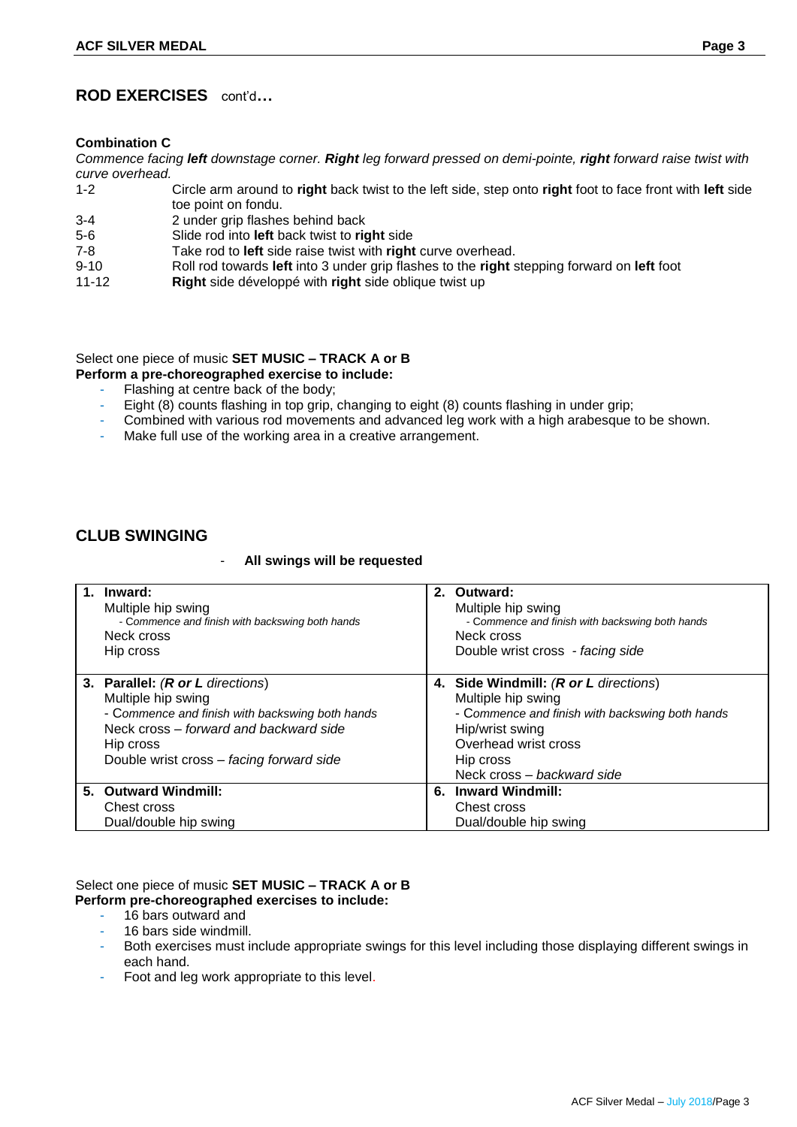# **ROD EXERCISES** cont'd**…**

#### **Combination C**

*Commence facing left downstage corner. Right leg forward pressed on demi-pointe, right forward raise twist with curve overhead.*

- 1-2 Circle arm around to **right** back twist to the left side, step onto **right** foot to face front with **left** side toe point on fondu.
- 3-4 2 under grip flashes behind back
- 5-6 Slide rod into **left** back twist to **right** side
- 7-8 Take rod to **left** side raise twist with **right** curve overhead.
- 9-10 Roll rod towards **left** into 3 under grip flashes to the **right** stepping forward on **left** foot
- 11-12 **Right** side développé with **right** side oblique twist up

Select one piece of music **SET MUSIC – TRACK A or B**

**Perform a pre-choreographed exercise to include:**

- Flashing at centre back of the body;
- Eight (8) counts flashing in top grip, changing to eight (8) counts flashing in under grip;
- Combined with various rod movements and advanced leg work with a high arabesque to be shown.
- Make full use of the working area in a creative arrangement.

# **CLUB SWINGING**

#### - **All swings will be requested**

| 1. Inward:<br>Multiple hip swing<br>- Commence and finish with backswing both hands<br>Neck cross<br>Hip cross                                                                                               | 2. Outward:<br>Multiple hip swing<br>- Commence and finish with backswing both hands<br>Neck cross<br>Double wrist cross - facing side                                                               |
|--------------------------------------------------------------------------------------------------------------------------------------------------------------------------------------------------------------|------------------------------------------------------------------------------------------------------------------------------------------------------------------------------------------------------|
| 3. Parallel: (R or L directions)<br>Multiple hip swing<br>- Commence and finish with backswing both hands<br>Neck cross – forward and backward side<br>Hip cross<br>Double wrist cross - facing forward side | 4. Side Windmill: (R or L directions)<br>Multiple hip swing<br>- Commence and finish with backswing both hands<br>Hip/wrist swing<br>Overhead wrist cross<br>Hip cross<br>Neck cross - backward side |
| 5. Outward Windmill:<br>Chest cross<br>Dual/double hip swing                                                                                                                                                 | 6. Inward Windmill:<br>Chest cross<br>Dual/double hip swing                                                                                                                                          |

### Select one piece of music **SET MUSIC – TRACK A or B Perform pre-choreographed exercises to include:**

- 16 bars outward and
- 16 bars side windmill.
- Both exercises must include appropriate swings for this level including those displaying different swings in each hand.
- Foot and leg work appropriate to this level.